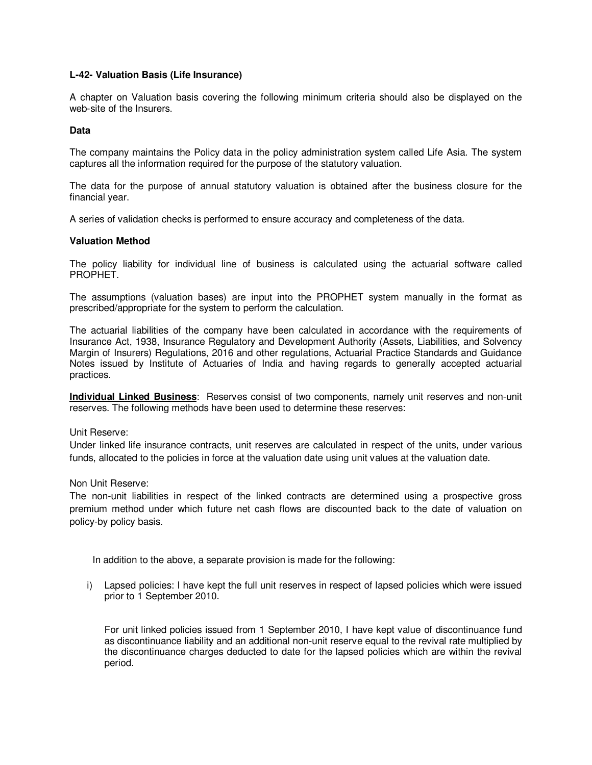# **L-42- Valuation Basis (Life Insurance)**

A chapter on Valuation basis covering the following minimum criteria should also be displayed on the web-site of the Insurers.

#### **Data**

The company maintains the Policy data in the policy administration system called Life Asia. The system captures all the information required for the purpose of the statutory valuation.

The data for the purpose of annual statutory valuation is obtained after the business closure for the financial year.

A series of validation checks is performed to ensure accuracy and completeness of the data.

#### **Valuation Method**

The policy liability for individual line of business is calculated using the actuarial software called PROPHET.

The assumptions (valuation bases) are input into the PROPHET system manually in the format as prescribed/appropriate for the system to perform the calculation.

The actuarial liabilities of the company have been calculated in accordance with the requirements of Insurance Act, 1938, Insurance Regulatory and Development Authority (Assets, Liabilities, and Solvency Margin of Insurers) Regulations, 2016 and other regulations, Actuarial Practice Standards and Guidance Notes issued by Institute of Actuaries of India and having regards to generally accepted actuarial practices.

**Individual Linked Business**: Reserves consist of two components, namely unit reserves and non-unit reserves. The following methods have been used to determine these reserves:

Unit Reserve:

Under linked life insurance contracts, unit reserves are calculated in respect of the units, under various funds, allocated to the policies in force at the valuation date using unit values at the valuation date.

Non Unit Reserve:

The non-unit liabilities in respect of the linked contracts are determined using a prospective gross premium method under which future net cash flows are discounted back to the date of valuation on policy-by policy basis.

In addition to the above, a separate provision is made for the following:

i) Lapsed policies: I have kept the full unit reserves in respect of lapsed policies which were issued prior to 1 September 2010.

For unit linked policies issued from 1 September 2010, I have kept value of discontinuance fund as discontinuance liability and an additional non-unit reserve equal to the revival rate multiplied by the discontinuance charges deducted to date for the lapsed policies which are within the revival period.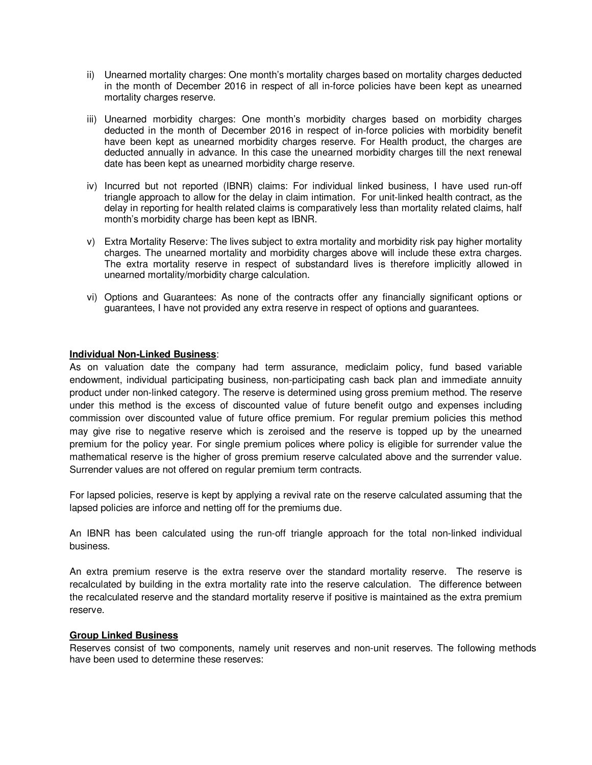- ii) Unearned mortality charges: One month's mortality charges based on mortality charges deducted in the month of December 2016 in respect of all in-force policies have been kept as unearned mortality charges reserve.
- iii) Unearned morbidity charges: One month's morbidity charges based on morbidity charges deducted in the month of December 2016 in respect of in-force policies with morbidity benefit have been kept as unearned morbidity charges reserve. For Health product, the charges are deducted annually in advance. In this case the unearned morbidity charges till the next renewal date has been kept as unearned morbidity charge reserve.
- iv) Incurred but not reported (IBNR) claims: For individual linked business, I have used run-off triangle approach to allow for the delay in claim intimation. For unit-linked health contract, as the delay in reporting for health related claims is comparatively less than mortality related claims, half month's morbidity charge has been kept as IBNR.
- v) Extra Mortality Reserve: The lives subject to extra mortality and morbidity risk pay higher mortality charges. The unearned mortality and morbidity charges above will include these extra charges. The extra mortality reserve in respect of substandard lives is therefore implicitly allowed in unearned mortality/morbidity charge calculation.
- vi) Options and Guarantees: As none of the contracts offer any financially significant options or guarantees, I have not provided any extra reserve in respect of options and guarantees.

# **Individual Non-Linked Business**:

As on valuation date the company had term assurance, mediclaim policy, fund based variable endowment, individual participating business, non-participating cash back plan and immediate annuity product under non-linked category. The reserve is determined using gross premium method. The reserve under this method is the excess of discounted value of future benefit outgo and expenses including commission over discounted value of future office premium. For regular premium policies this method may give rise to negative reserve which is zeroised and the reserve is topped up by the unearned premium for the policy year. For single premium polices where policy is eligible for surrender value the mathematical reserve is the higher of gross premium reserve calculated above and the surrender value. Surrender values are not offered on regular premium term contracts.

For lapsed policies, reserve is kept by applying a revival rate on the reserve calculated assuming that the lapsed policies are inforce and netting off for the premiums due.

An IBNR has been calculated using the run-off triangle approach for the total non-linked individual business.

An extra premium reserve is the extra reserve over the standard mortality reserve. The reserve is recalculated by building in the extra mortality rate into the reserve calculation. The difference between the recalculated reserve and the standard mortality reserve if positive is maintained as the extra premium reserve.

#### **Group Linked Business**

Reserves consist of two components, namely unit reserves and non-unit reserves. The following methods have been used to determine these reserves: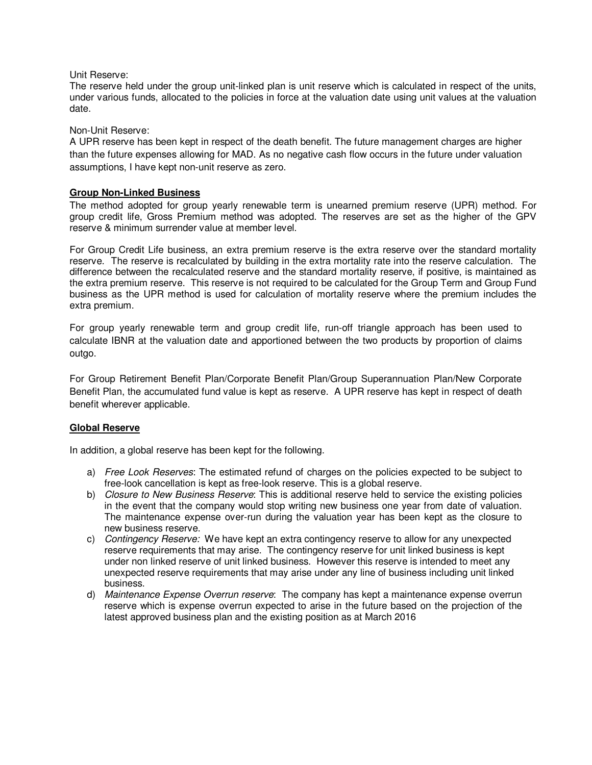## Unit Reserve:

The reserve held under the group unit-linked plan is unit reserve which is calculated in respect of the units, under various funds, allocated to the policies in force at the valuation date using unit values at the valuation date.

# Non-Unit Reserve:

A UPR reserve has been kept in respect of the death benefit. The future management charges are higher than the future expenses allowing for MAD. As no negative cash flow occurs in the future under valuation assumptions, I have kept non-unit reserve as zero.

# **Group Non-Linked Business**

The method adopted for group yearly renewable term is unearned premium reserve (UPR) method. For group credit life, Gross Premium method was adopted. The reserves are set as the higher of the GPV reserve & minimum surrender value at member level.

For Group Credit Life business, an extra premium reserve is the extra reserve over the standard mortality reserve. The reserve is recalculated by building in the extra mortality rate into the reserve calculation. The difference between the recalculated reserve and the standard mortality reserve, if positive, is maintained as the extra premium reserve. This reserve is not required to be calculated for the Group Term and Group Fund business as the UPR method is used for calculation of mortality reserve where the premium includes the extra premium.

For group yearly renewable term and group credit life, run-off triangle approach has been used to calculate IBNR at the valuation date and apportioned between the two products by proportion of claims outgo.

For Group Retirement Benefit Plan/Corporate Benefit Plan/Group Superannuation Plan/New Corporate Benefit Plan, the accumulated fund value is kept as reserve. A UPR reserve has kept in respect of death benefit wherever applicable.

# **Global Reserve**

In addition, a global reserve has been kept for the following.

- a) Free Look Reserves: The estimated refund of charges on the policies expected to be subject to free-look cancellation is kept as free-look reserve. This is a global reserve.
- b) Closure to New Business Reserve: This is additional reserve held to service the existing policies in the event that the company would stop writing new business one year from date of valuation. The maintenance expense over-run during the valuation year has been kept as the closure to new business reserve.
- c) Contingency Reserve: We have kept an extra contingency reserve to allow for any unexpected reserve requirements that may arise. The contingency reserve for unit linked business is kept under non linked reserve of unit linked business. However this reserve is intended to meet any unexpected reserve requirements that may arise under any line of business including unit linked business.
- d) Maintenance Expense Overrun reserve: The company has kept a maintenance expense overrun reserve which is expense overrun expected to arise in the future based on the projection of the latest approved business plan and the existing position as at March 2016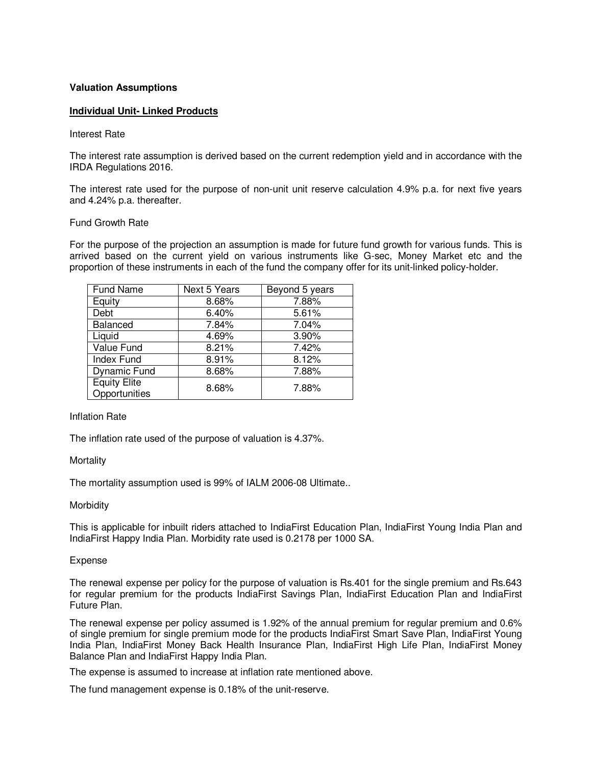## **Valuation Assumptions**

# **Individual Unit- Linked Products**

#### Interest Rate

The interest rate assumption is derived based on the current redemption yield and in accordance with the IRDA Regulations 2016.

The interest rate used for the purpose of non-unit unit reserve calculation 4.9% p.a. for next five years and 4.24% p.a. thereafter.

#### Fund Growth Rate

For the purpose of the projection an assumption is made for future fund growth for various funds. This is arrived based on the current yield on various instruments like G-sec, Money Market etc and the proportion of these instruments in each of the fund the company offer for its unit-linked policy-holder.

| Fund Name                            | Next 5 Years | Beyond 5 years |
|--------------------------------------|--------------|----------------|
| Equity                               | 8.68%        | 7.88%          |
| Debt                                 | 6.40%        | 5.61%          |
| Balanced                             | 7.84%        | 7.04%          |
| Liquid                               | 4.69%        | 3.90%          |
| Value Fund                           | 8.21%        | 7.42%          |
| Index Fund                           | 8.91%        | 8.12%          |
| <b>Dynamic Fund</b>                  | 8.68%        | 7.88%          |
| <b>Equity Elite</b><br>Opportunities | 8.68%        | 7.88%          |

#### Inflation Rate

The inflation rate used of the purpose of valuation is 4.37%.

#### **Mortality**

The mortality assumption used is 99% of IALM 2006-08 Ultimate..

#### **Morbidity**

This is applicable for inbuilt riders attached to IndiaFirst Education Plan, IndiaFirst Young India Plan and IndiaFirst Happy India Plan. Morbidity rate used is 0.2178 per 1000 SA.

#### Expense

The renewal expense per policy for the purpose of valuation is Rs.401 for the single premium and Rs.643 for regular premium for the products IndiaFirst Savings Plan, IndiaFirst Education Plan and IndiaFirst Future Plan.

The renewal expense per policy assumed is 1.92% of the annual premium for regular premium and 0.6% of single premium for single premium mode for the products IndiaFirst Smart Save Plan, IndiaFirst Young India Plan, IndiaFirst Money Back Health Insurance Plan, IndiaFirst High Life Plan, IndiaFirst Money Balance Plan and IndiaFirst Happy India Plan.

The expense is assumed to increase at inflation rate mentioned above.

The fund management expense is 0.18% of the unit-reserve.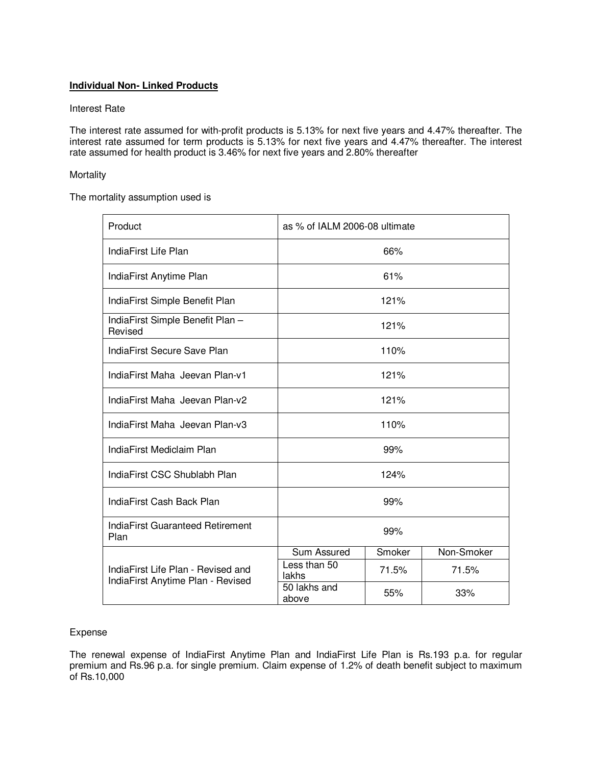# **Individual Non- Linked Products**

# Interest Rate

The interest rate assumed for with-profit products is 5.13% for next five years and 4.47% thereafter. The interest rate assumed for term products is 5.13% for next five years and 4.47% thereafter. The interest rate assumed for health product is 3.46% for next five years and 2.80% thereafter

# **Mortality**

The mortality assumption used is

| Product                                                                 | as % of IALM 2006-08 ultimate |        |            |
|-------------------------------------------------------------------------|-------------------------------|--------|------------|
| IndiaFirst Life Plan                                                    | 66%                           |        |            |
| IndiaFirst Anytime Plan                                                 | 61%                           |        |            |
| IndiaFirst Simple Benefit Plan                                          | 121%                          |        |            |
| IndiaFirst Simple Benefit Plan -<br>Revised                             | 121%                          |        |            |
| IndiaFirst Secure Save Plan                                             | 110%                          |        |            |
| IndiaFirst Maha Jeevan Plan-v1                                          | 121%                          |        |            |
| IndiaFirst Maha Jeevan Plan-v2                                          | 121%                          |        |            |
| IndiaFirst Maha Jeevan Plan-v3                                          | 110%                          |        |            |
| IndiaFirst Mediclaim Plan                                               | 99%                           |        |            |
| IndiaFirst CSC Shublabh Plan                                            | 124%                          |        |            |
| IndiaFirst Cash Back Plan                                               | 99%                           |        |            |
| <b>IndiaFirst Guaranteed Retirement</b><br>Plan                         | 99%                           |        |            |
| IndiaFirst Life Plan - Revised and<br>IndiaFirst Anytime Plan - Revised | Sum Assured                   | Smoker | Non-Smoker |
|                                                                         | Less than 50<br>lakhs         | 71.5%  | 71.5%      |
|                                                                         | 50 lakhs and<br>above         | 55%    | 33%        |

## Expense

The renewal expense of IndiaFirst Anytime Plan and IndiaFirst Life Plan is Rs.193 p.a. for regular premium and Rs.96 p.a. for single premium. Claim expense of 1.2% of death benefit subject to maximum of Rs.10,000